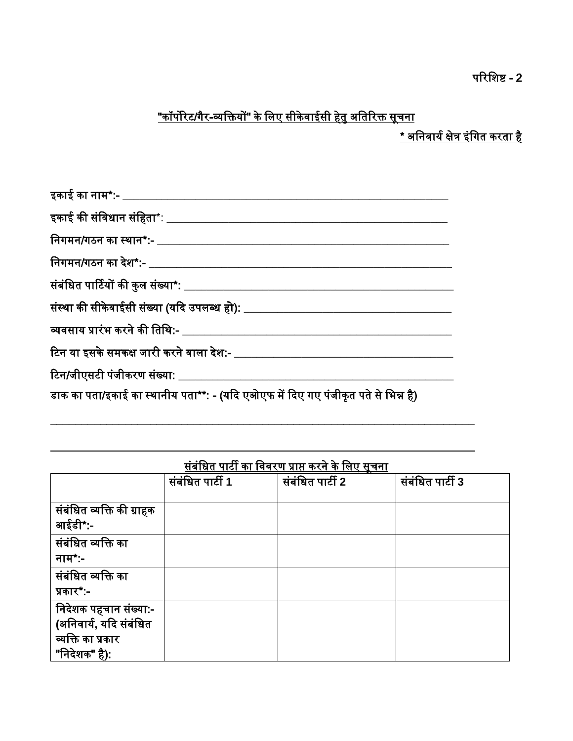# <u>"कॉर्पोरेट/गैर-व्यक्तियों" के लिए सीकेवाईसी हेतु अतिरिक्त सूचना</u>

<u>\* अनिवार्य क्षेत्र इंगित करता है</u>

| इकाई का नाम*:- __________________                                                 |
|-----------------------------------------------------------------------------------|
|                                                                                   |
| निगमन/गठन का स्थान*:- ______________________________                              |
|                                                                                   |
| संबंधित पार्टियों की कुल संख्या*: ________________________________                |
|                                                                                   |
|                                                                                   |
|                                                                                   |
| टिन/जीएसटी पंजीकरण संख्या: ___________________                                    |
| डाक का पता/इकाई का स्थानीय पता**: - (यदि एओएफ में दिए गए पंजीकृत पते से भिन्न है) |

| संबंधित पार्टी का विवरण प्राप्त करने के लिए सूचना |  |  |  |  |
|---------------------------------------------------|--|--|--|--|
|                                                   |  |  |  |  |

| संबंधित व्यक्ति की ग्राहक                                                             | संबंधित पार्टी 1 | संबंधित पार्टी 2 | संबंधित पार्टी 3 |
|---------------------------------------------------------------------------------------|------------------|------------------|------------------|
|                                                                                       |                  |                  |                  |
| आईडी*:-                                                                               |                  |                  |                  |
| संबंधित व्यक्ति का<br>नाम $^*$ :-                                                     |                  |                  |                  |
| संबंधित व्यक्ति का<br>प्रकार*:-                                                       |                  |                  |                  |
| निदेशक पहचान संख्या:-<br>(अनिवार्य, यदि संबंधित<br>व्यक्ति का प्रकार<br>"निदेशक" है): |                  |                  |                  |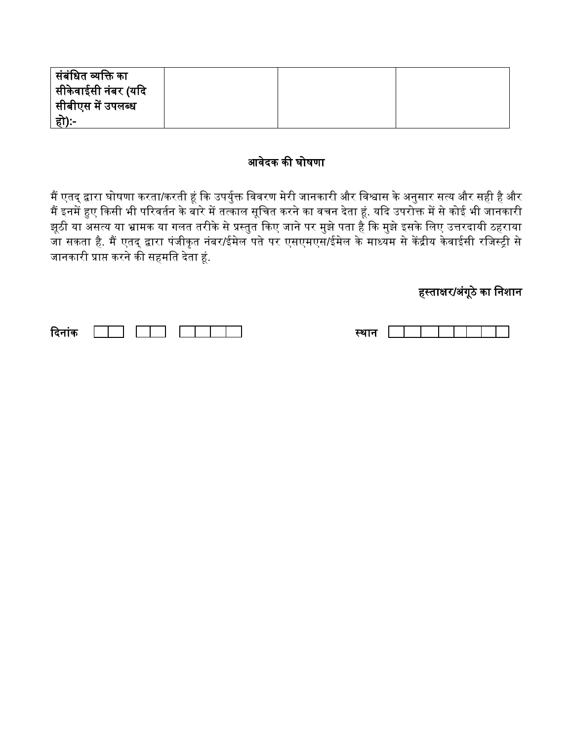| <sup> </sup> संबंधित व्यक्ति का  |  |  |
|----------------------------------|--|--|
| <sup> </sup> सीकेवाईसी नंबर (यदि |  |  |
| <sup> </sup> सीबीएस में उपलब्ध   |  |  |
| हो):-                            |  |  |

### आवेदक की घोषणा

मैं एतद् द्वारा घोषणा करता/करती हूं कि उपर्युक्त विवरण मेरी जानकारी और विश्वास के अनुसार सत्य और सही है और मैं इनमें हुए किसी भी परिवर्तन के बारे में तत्काल सूचित करने का वचन देता हूं. यदि उपरोक्त में से कोई भी जानकारी झूठी या असत्य या भ्रामक या गलत तरीके से प्रस्तुत किए जाने पर मुझे पता है कि मुझे इसके लिए उत्तरदायी ठहराया जा सकता है. मैं एतद् द्वारा पंजीकृत नंबर/ईमेल पते पर एसएमएस/ईमेल के माध्यम से केंद्रीय केवाईसी रजिस्ट्री से जानकारी प्राप्त करने की सहमति देता हूं.

# हस्ताक्षर/अंगूठे का निशान

| गक ।<br>16<br>--<br>. . |  |
|-------------------------|--|
|-------------------------|--|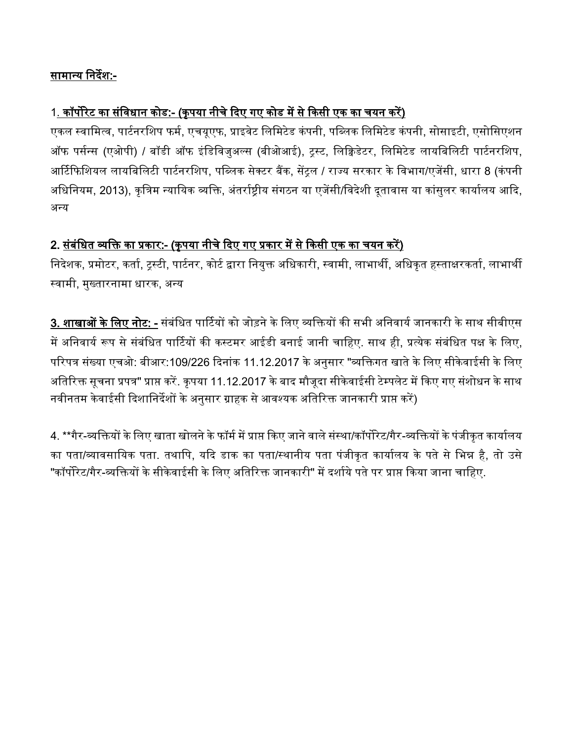### सामान्य निर्देश:-

## <u>1. कॉर्पोरेट का संविधान कोड:- (कृपया नीचे दिए गए कोड में से किसी एक का चयन करें)</u>

एकल स्वामित्व, पार्टनरशिप फर्म, एचयूएफ, प्राइवेट लिमिटेड कंपनी, पब्लिक लिमिटेड कंपनी, सोसाइटी, एसोसिएशन ऑफ पर्सन्स (एओपी) / बॉडी ऑफ इंडिविजुअल्स (बीओआई), ट्रस्ट, लिक्विडेटर, लिमिटेड लायबिलिटी पार्टनरशिप, आर्टिफिशियल लायबिलिटी पार्टनरशिप, पब्लिक सेक्टर बैंक, सेंटल / राज्य सरकार के विभाग/एजेंसी, धारा 8 (कंपनी अधिनियम, 2013), कृत्रिम न्यायिक व्यक्ति, अंतर्राष्ट्रीय संगठन या एजेंसी/विदेशी दुतावास या कांसुलर कार्यालय आदि, अन्य

### 2. <u>संबंधित व्यक्ति का प्रकार:- (कृपया नीचे दिए गए प्रकार में से किसी एक का चयन करें)</u>

निदेशक, प्रमोटर, कर्ता, ट्रस्टी, पार्टनर, कोर्ट द्वारा नियुक्त अधिकारी, स्वामी, लाभार्थी, अधिकृत हस्ताक्षरकर्ता, लाभार्थी स्वामी, मुख्तारनामा धारक, अन्य

**3. शाखाओं के लिए नोट: -** संबंधित पार्टियों को जोड़ने के लिए व्यक्तियों की सभी अनिवार्य जानकारी के साथ सीबीएस में अनिवार्य रूप से संबंधित पार्टियों की कस्टमर आईडी बनाई जानी चाहिए. साथ ही, प्रत्येक संबंधित पक्ष के लिए, परिपत्र संख्या एचओ: बीआर:109/226 दिनांक 11.12.2017 के अनुसार "व्यक्तिगत खाते के लिए सीकेवाईसी के लिए अतिरिक्त सूचना प्रपत्र" प्राप्त करें. कृपया 11.12.2017 के बाद मौजूदा सीकेवाईसी टेम्पलेट में किए गए संशोधन के साथ नवीनतम केवाईसी दिशानिर्देशों के अनुसार ग्राहक से आवश्यक अतिरिक्त जानकारी प्राप्त करें)

4. \*\*गैर-व्यक्तियों के लिए खाता खोलने के फॉर्म में प्राप्त किए जाने वाले संस्था/कॉर्पोरेट/गैर-व्यक्तियों के पंजीकृत कार्यालय का पता/व्यावसायिक पता. तथापि, यदि डाक का पता/स्थानीय पता पंजीकृत कार्यालय के पते से भिन्न है, तो उसे "कॉर्पोरेट/गैर-व्यक्तियों के सीकेवाईसी के लिए अतिरिक्त जानकारी" में दर्शाये पते पर प्राप्त किया जाना चाहिए.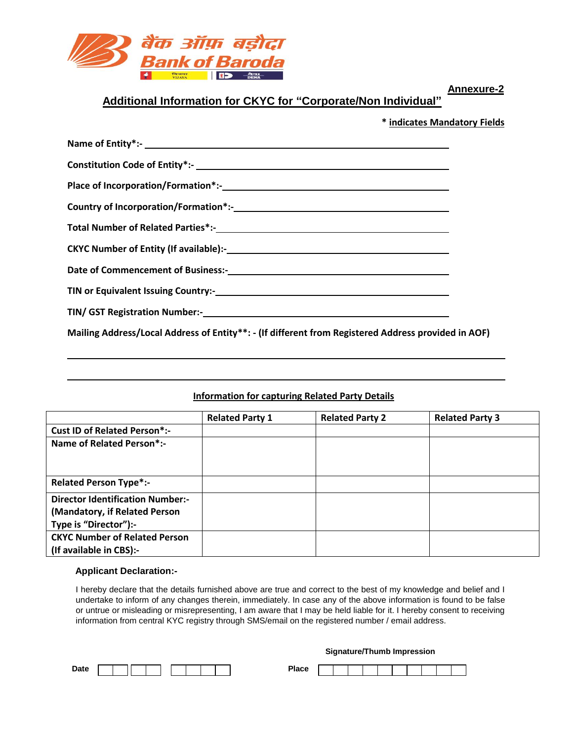

**Annexure-2**

### **Additional Information for CKYC for "Corporate/Non Individual"**

 **\* indicates Mandatory Fields**

| Mailing Address/Local Address of Entity**: - (If different from Registered Address provided in AOF) |  |
|-----------------------------------------------------------------------------------------------------|--|

#### **Information for capturing Related Party Details**

|                                         | <b>Related Party 1</b> | <b>Related Party 2</b> | <b>Related Party 3</b> |
|-----------------------------------------|------------------------|------------------------|------------------------|
| <b>Cust ID of Related Person*:-</b>     |                        |                        |                        |
| Name of Related Person*:-               |                        |                        |                        |
|                                         |                        |                        |                        |
|                                         |                        |                        |                        |
| <b>Related Person Type*:-</b>           |                        |                        |                        |
| <b>Director Identification Number:-</b> |                        |                        |                        |
| (Mandatory, if Related Person           |                        |                        |                        |
| Type is "Director"):-                   |                        |                        |                        |
| <b>CKYC Number of Related Person</b>    |                        |                        |                        |
| (If available in CBS):-                 |                        |                        |                        |

#### **Applicant Declaration:-**

I hereby declare that the details furnished above are true and correct to the best of my knowledge and belief and I undertake to inform of any changes therein, immediately. In case any of the above information is found to be false or untrue or misleading or misrepresenting, I am aware that I may be held liable for it. I hereby consent to receiving information from central KYC registry through SMS/email on the registered number / email address.

#### **Signature/Thumb Impression**

| <b>Date</b><br>---- |  |  |  |  | D.<br>---<br>-тасе<br>$-$ |  |  |  |  |  |
|---------------------|--|--|--|--|---------------------------|--|--|--|--|--|
|                     |  |  |  |  |                           |  |  |  |  |  |